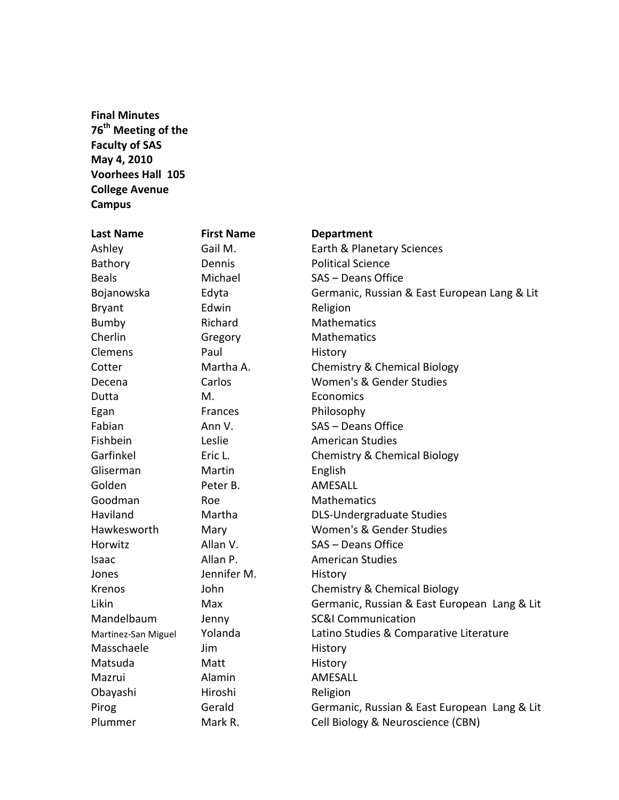**Final Minutes 76th Meeting of the Faculty of SAS May 4, 2010 Voorhees Hall 105 College Avenue Campus**

| <b>Last Name</b>    | <b>First Name</b> | <b>Department</b>                            |
|---------------------|-------------------|----------------------------------------------|
| Ashley              | Gail M.           | Earth & Planetary Sciences                   |
| Bathory             | Dennis            | <b>Political Science</b>                     |
| <b>Beals</b>        | Michael           | SAS - Deans Office                           |
| Bojanowska          | Edyta             | Germanic, Russian & East European Lang & Lit |
| <b>Bryant</b>       | Edwin             | Religion                                     |
| Bumby               | Richard           | <b>Mathematics</b>                           |
| Cherlin             | Gregory           | Mathematics                                  |
| Clemens             | Paul              | History                                      |
| Cotter              | Martha A.         | Chemistry & Chemical Biology                 |
| Decena              | Carlos            | Women's & Gender Studies                     |
| Dutta               | М.                | Economics                                    |
| Egan                | Frances           | Philosophy                                   |
| Fabian              | Ann V.            | SAS - Deans Office                           |
| Fishbein            | Leslie            | <b>American Studies</b>                      |
| Garfinkel           | Eric L.           | Chemistry & Chemical Biology                 |
| Gliserman           | Martin            | English                                      |
| Golden              | Peter B.          | AMESALL                                      |
| Goodman             | Roe               | Mathematics                                  |
| Haviland            | Martha            | <b>DLS-Undergraduate Studies</b>             |
| Hawkesworth         | Mary              | Women's & Gender Studies                     |
| Horwitz             | Allan V.          | SAS - Deans Office                           |
| Isaac               | Allan P.          | <b>American Studies</b>                      |
| Jones               | Jennifer M.       | History                                      |
| Krenos              | John              | <b>Chemistry &amp; Chemical Biology</b>      |
| Likin               | Max               | Germanic, Russian & East European Lang & Lit |
| Mandelbaum          | Jenny             | <b>SC&amp;I Communication</b>                |
| Martinez-San Miguel | Yolanda           | Latino Studies & Comparative Literature      |
| Masschaele          | Jim               | History                                      |
| Matsuda             | Matt              | History                                      |
| Mazrui              | Alamin            | AMESALL                                      |
| Obayashi            | Hiroshi           | Religion                                     |
| Pirog               | Gerald            | Germanic, Russian & East European Lang & Lit |
| Plummer             | Mark R.           | Cell Biology & Neuroscience (CBN)            |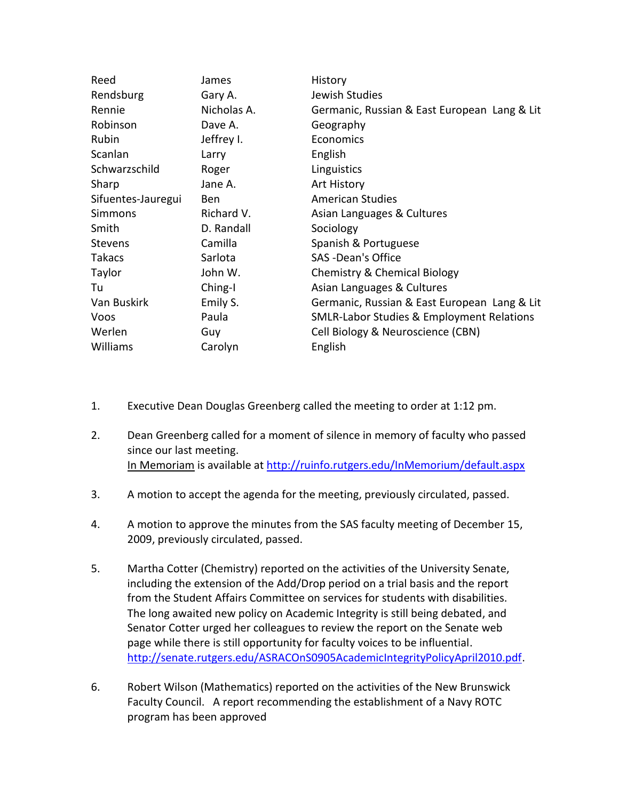| Reed               | James       | History                                              |
|--------------------|-------------|------------------------------------------------------|
| Rendsburg          | Gary A.     | Jewish Studies                                       |
| Rennie             | Nicholas A. | Germanic, Russian & East European Lang & Lit         |
| Robinson           | Dave A.     | Geography                                            |
| Rubin              | Jeffrey I.  | Economics                                            |
| Scanlan            | Larry       | English                                              |
| Schwarzschild      | Roger       | Linguistics                                          |
| Sharp              | Jane A.     | Art History                                          |
| Sifuentes-Jauregui | <b>Ben</b>  | <b>American Studies</b>                              |
| <b>Simmons</b>     | Richard V.  | Asian Languages & Cultures                           |
| Smith              | D. Randall  | Sociology                                            |
| <b>Stevens</b>     | Camilla     | Spanish & Portuguese                                 |
| <b>Takacs</b>      | Sarlota     | SAS - Dean's Office                                  |
| Taylor             | John W.     | Chemistry & Chemical Biology                         |
| Tu                 | Ching-I     | Asian Languages & Cultures                           |
| Van Buskirk        | Emily S.    | Germanic, Russian & East European Lang & Lit         |
| Voos               | Paula       | <b>SMLR-Labor Studies &amp; Employment Relations</b> |
| Werlen             | Guy         | Cell Biology & Neuroscience (CBN)                    |
| Williams           | Carolyn     | English                                              |

- 1. Executive Dean Douglas Greenberg called the meeting to order at 1:12 pm.
- 2. Dean Greenberg called for a moment of silence in memory of faculty who passed since our last meeting. In Memoriam is available a[t http://ruinfo.rutgers.edu/InMemorium/default.aspx](http://ruinfo.rutgers.edu/InMemorium/default.aspx)
- 3. A motion to accept the agenda for the meeting, previously circulated, passed.
- 4. A motion to approve the minutes from the SAS faculty meeting of December 15, 2009, previously circulated, passed.
- 5. Martha Cotter (Chemistry) reported on the activities of the University Senate, including the extension of the Add/Drop period on a trial basis and the report from the Student Affairs Committee on services for students with disabilities. The long awaited new policy on Academic Integrity is still being debated, and Senator Cotter urged her colleagues to review the report on the Senate web page while there is still opportunity for faculty voices to be influential. [http://senate.rutgers.edu/ASRACOnS0905AcademicIntegrityPolicyApril2010.pdf.](http://senate.rutgers.edu/ASRACOnS0905AcademicIntegrityPolicyApril2010.pdf)
- 6. Robert Wilson (Mathematics) reported on the activities of the New Brunswick Faculty Council. A report recommending the establishment of a Navy ROTC program has been approved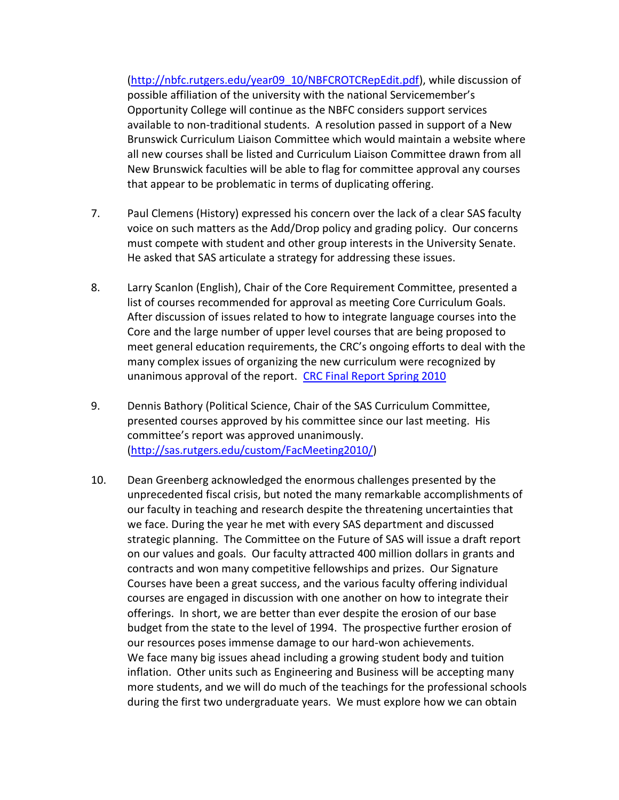[\(http://nbfc.rutgers.edu/year09\\_10/NBFCROTCRepEdit.pdf\)](http://nbfc.rutgers.edu/year09_10/NBFCROTCRepEdit.pdf), while discussion of possible affiliation of the university with the national Servicemember's Opportunity College will continue as the NBFC considers support services available to non-traditional students. A resolution passed in support of a New Brunswick Curriculum Liaison Committee which would maintain a website where all new courses shall be listed and Curriculum Liaison Committee drawn from all New Brunswick faculties will be able to flag for committee approval any courses that appear to be problematic in terms of duplicating offering.

- 7. Paul Clemens (History) expressed his concern over the lack of a clear SAS faculty voice on such matters as the Add/Drop policy and grading policy. Our concerns must compete with student and other group interests in the University Senate. He asked that SAS articulate a strategy for addressing these issues.
- 8. Larry Scanlon (English), Chair of the Core Requirement Committee, presented a list of courses recommended for approval as meeting Core Curriculum Goals. After discussion of issues related to how to integrate language courses into the Core and the large number of upper level courses that are being proposed to meet general education requirements, the CRC's ongoing efforts to deal with the many complex issues of organizing the new curriculum were recognized by unanimous approval of the report. [CRC Final Report Spring 2010](http://sas.rutgers.edu/index.php?option=com_docman&task=doc_download&gid=485&Itemid=159)
- 9. Dennis Bathory (Political Science, Chair of the SAS Curriculum Committee, presented courses approved by his committee since our last meeting. His committee's report was approved unanimously. [\(http://sas.rutgers.edu/custom/FacMeeting2010/\)](http://sas.rutgers.edu/custom/FacMeeting2010/)
- 10. Dean Greenberg acknowledged the enormous challenges presented by the unprecedented fiscal crisis, but noted the many remarkable accomplishments of our faculty in teaching and research despite the threatening uncertainties that we face. During the year he met with every SAS department and discussed strategic planning. The Committee on the Future of SAS will issue a draft report on our values and goals. Our faculty attracted 400 million dollars in grants and contracts and won many competitive fellowships and prizes. Our Signature Courses have been a great success, and the various faculty offering individual courses are engaged in discussion with one another on how to integrate their offerings. In short, we are better than ever despite the erosion of our base budget from the state to the level of 1994. The prospective further erosion of our resources poses immense damage to our hard-won achievements. We face many big issues ahead including a growing student body and tuition inflation. Other units such as Engineering and Business will be accepting many more students, and we will do much of the teachings for the professional schools during the first two undergraduate years. We must explore how we can obtain